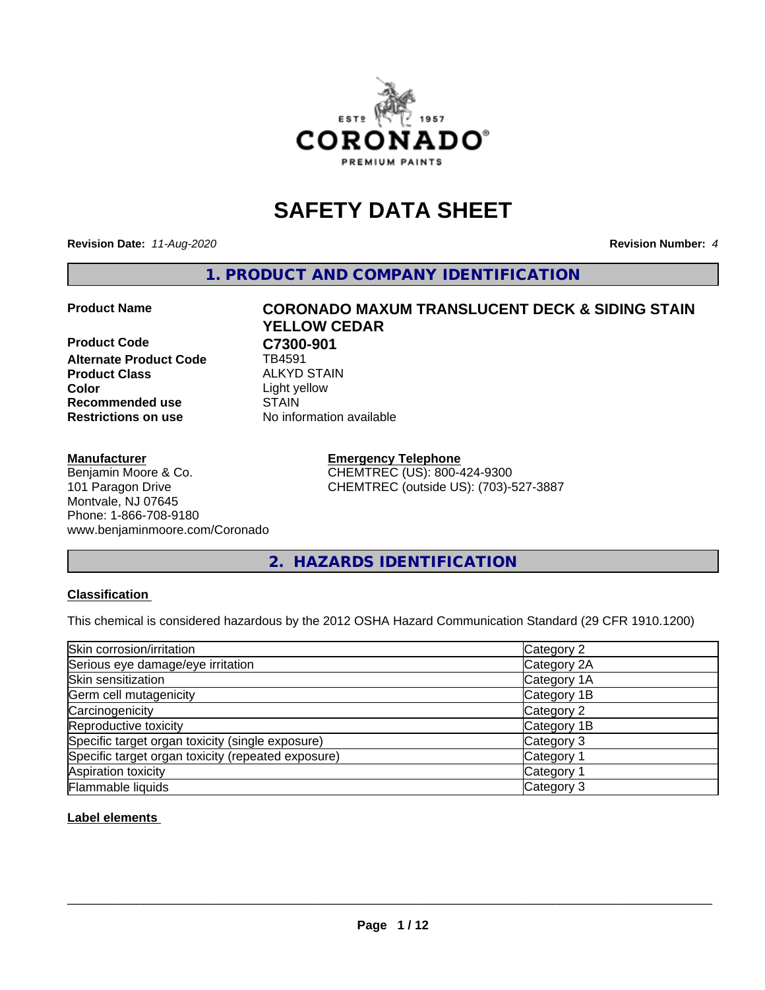

## **SAFETY DATA SHEET**

**Revision Date:** *11-Aug-2020* **Revision Number:** *4*

**1. PRODUCT AND COMPANY IDENTIFICATION**

**Product Code C7300-901**<br>Alternate Product Code **CD** TB4591 **Alternate Product Code Product Class** ALKYD STAIN<br> **Color** Light vellow **Recommended use Restrictions on use** No information available

#### **Manufacturer**

Benjamin Moore & Co. 101 Paragon Drive Montvale, NJ 07645 Phone: 1-866-708-9180 www.benjaminmoore.com/Coronado

# **Product Name CORONADO MAXUM TRANSLUCENT DECK & SIDING STAIN YELLOW CEDAR** Light yellow<br>STAIN

**Emergency Telephone** CHEMTREC (US): 800-424-9300 CHEMTREC (outside US): (703)-527-3887

#### **2. HAZARDS IDENTIFICATION**

#### **Classification**

This chemical is considered hazardous by the 2012 OSHA Hazard Communication Standard (29 CFR 1910.1200)

| Skin corrosion/irritation                          | Category 2            |
|----------------------------------------------------|-----------------------|
| Serious eye damage/eye irritation                  | Category 2A           |
| Skin sensitization                                 | Category 1A           |
| Germ cell mutagenicity                             | Category 1B           |
| Carcinogenicity                                    | Category 2            |
| Reproductive toxicity                              | Category 1B           |
| Specific target organ toxicity (single exposure)   | Category 3            |
| Specific target organ toxicity (repeated exposure) | Category <sup>-</sup> |
| Aspiration toxicity                                | Category 1            |
| Flammable liquids                                  | Category 3            |

#### **Label elements**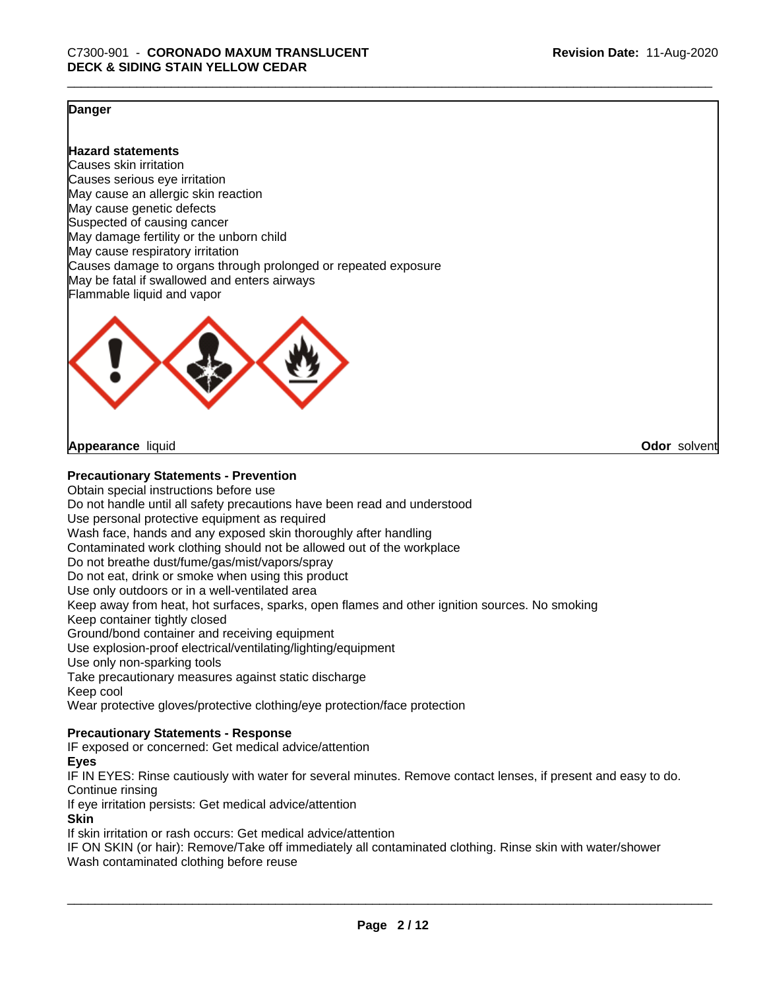**Odor** solvent

#### **Danger**

**Hazard statements**

Causes skin irritation Causes serious eye irritation May cause an allergic skin reaction May cause genetic defects Suspected of causing cancer May damage fertility or the unborn child May cause respiratory irritation Causes damage to organs through prolonged or repeated exposure May be fatal if swallowed and enters airways Flammable liquid and vapor



**Appearance** liquid

#### **Precautionary Statements - Prevention**

Obtain special instructions before use Do not handle until all safety precautions have been read and understood Use personal protective equipment as required Wash face, hands and any exposed skin thoroughly after handling Contaminated work clothing should not be allowed out of the workplace Do not breathe dust/fume/gas/mist/vapors/spray Do not eat, drink or smoke when using this product Use only outdoors or in a well-ventilated area Keep away from heat, hot surfaces, sparks, open flames and other ignition sources. No smoking Keep container tightly closed Ground/bond container and receiving equipment Use explosion-proof electrical/ventilating/lighting/equipment Use only non-sparking tools Take precautionary measures against static discharge Keep cool Wear protective gloves/protective clothing/eye protection/face protection

#### **Precautionary Statements - Response**

IF exposed or concerned: Get medical advice/attention

#### **Eyes**

IF IN EYES: Rinse cautiously with water for several minutes. Remove contact lenses, if present and easy to do. Continue rinsing

If eye irritation persists: Get medical advice/attention

#### **Skin**

If skin irritation or rash occurs: Get medical advice/attention

IF ON SKIN (or hair): Remove/Take off immediately all contaminated clothing. Rinse skin with water/shower Wash contaminated clothing before reuse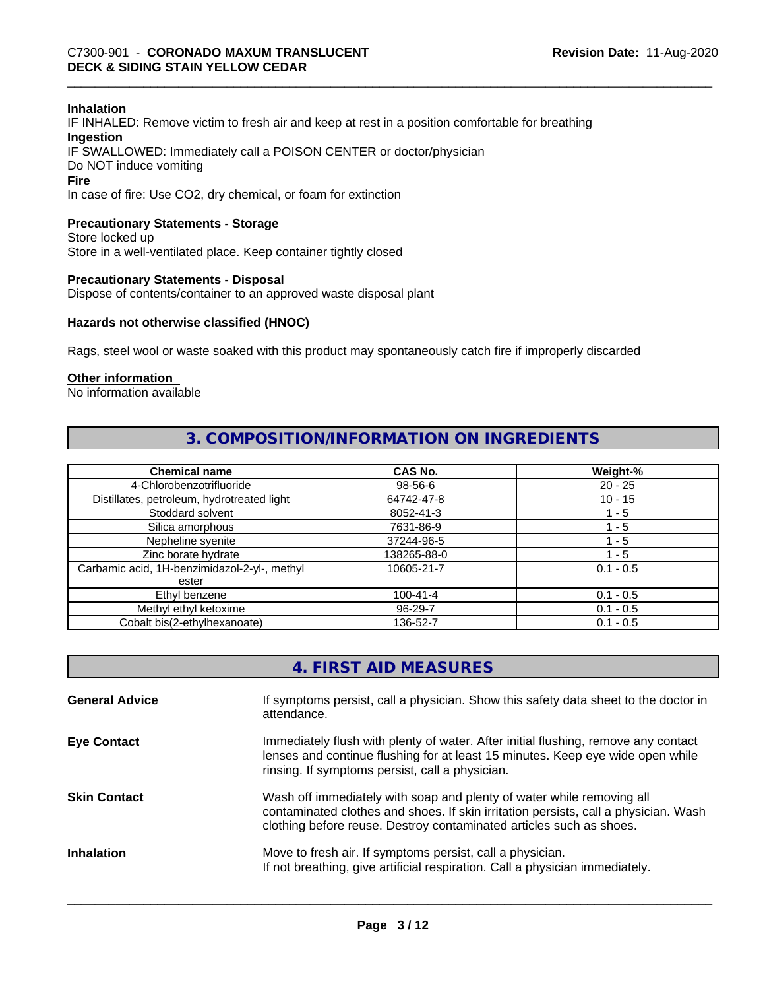#### **Inhalation**

IF INHALED: Remove victim to fresh air and keep at rest in a position comfortable for breathing **Ingestion** IF SWALLOWED: Immediately call a POISON CENTER or doctor/physician Do NOT induce vomiting **Fire**

In case of fire: Use CO2, dry chemical, or foam for extinction

#### **Precautionary Statements - Storage**

Store locked up Store in a well-ventilated place. Keep container tightly closed

#### **Precautionary Statements - Disposal**

Dispose of contents/container to an approved waste disposal plant

#### **Hazards not otherwise classified (HNOC)**

Rags, steel wool or waste soaked with this product may spontaneously catch fire if improperly discarded

#### **Other information**

No information available

#### **3. COMPOSITION/INFORMATION ON INGREDIENTS**

| <b>Chemical name</b>                         | <b>CAS No.</b> | Weight-%    |
|----------------------------------------------|----------------|-------------|
| 4-Chlorobenzotrifluoride                     | 98-56-6        | $20 - 25$   |
| Distillates, petroleum, hydrotreated light   | 64742-47-8     | $10 - 15$   |
| Stoddard solvent                             | 8052-41-3      | 1 - 5       |
| Silica amorphous                             | 7631-86-9      | 1 - 5       |
| Nepheline syenite                            | 37244-96-5     | $-5$        |
| Zinc borate hydrate                          | 138265-88-0    | 1 - 5       |
| Carbamic acid, 1H-benzimidazol-2-yl-, methyl | 10605-21-7     | $0.1 - 0.5$ |
| ester                                        |                |             |
| Ethyl benzene                                | $100 - 41 - 4$ | $0.1 - 0.5$ |
| Methyl ethyl ketoxime                        | 96-29-7        | $0.1 - 0.5$ |
| Cobalt bis(2-ethylhexanoate)                 | 136-52-7       | $0.1 - 0.5$ |

| 4. FIRST AID MEASURES |  |
|-----------------------|--|
|-----------------------|--|

| <b>General Advice</b> | If symptoms persist, call a physician. Show this safety data sheet to the doctor in<br>attendance.                                                                                                                                  |
|-----------------------|-------------------------------------------------------------------------------------------------------------------------------------------------------------------------------------------------------------------------------------|
| <b>Eye Contact</b>    | Immediately flush with plenty of water. After initial flushing, remove any contact<br>lenses and continue flushing for at least 15 minutes. Keep eye wide open while<br>rinsing. If symptoms persist, call a physician.             |
| <b>Skin Contact</b>   | Wash off immediately with soap and plenty of water while removing all<br>contaminated clothes and shoes. If skin irritation persists, call a physician. Wash<br>clothing before reuse. Destroy contaminated articles such as shoes. |
| <b>Inhalation</b>     | Move to fresh air. If symptoms persist, call a physician.<br>If not breathing, give artificial respiration. Call a physician immediately.                                                                                           |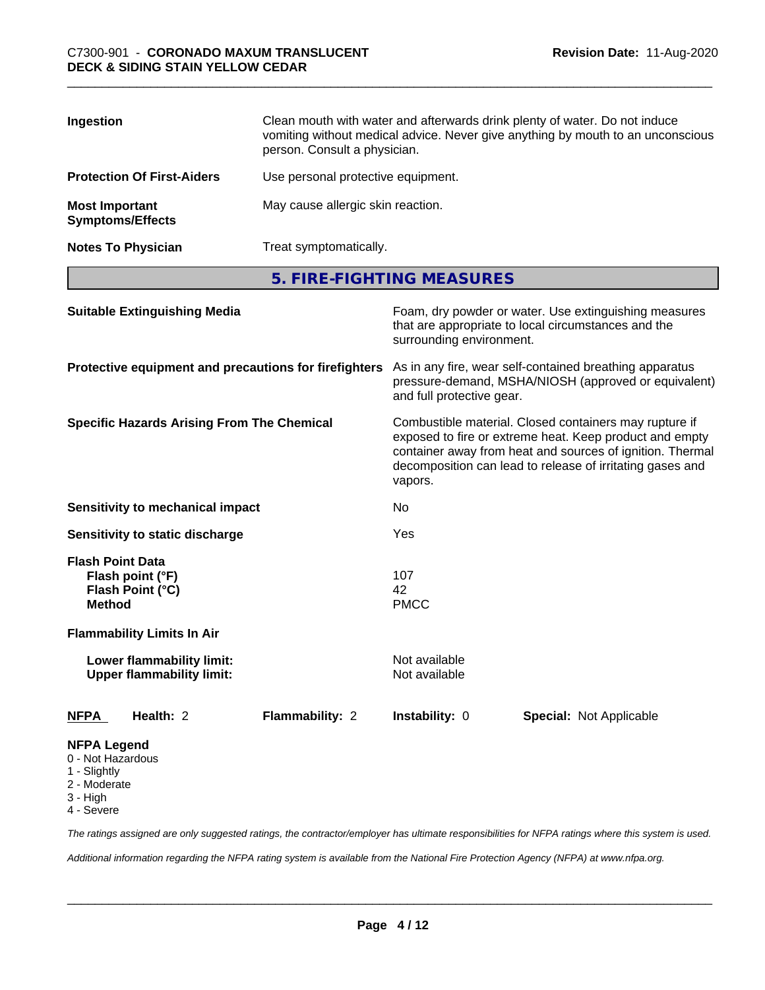| Ingestion                                        | Clean mouth with water and afterwards drink plenty of water. Do not induce<br>vomiting without medical advice. Never give anything by mouth to an unconscious<br>person. Consult a physician. |
|--------------------------------------------------|-----------------------------------------------------------------------------------------------------------------------------------------------------------------------------------------------|
| <b>Protection Of First-Aiders</b>                | Use personal protective equipment.                                                                                                                                                            |
| <b>Most Important</b><br><b>Symptoms/Effects</b> | May cause allergic skin reaction.                                                                                                                                                             |
| <b>Notes To Physician</b>                        | Treat symptomatically.                                                                                                                                                                        |

**5. FIRE-FIGHTING MEASURES**

| <b>Suitable Extinguishing Media</b>                                                 | Foam, dry powder or water. Use extinguishing measures<br>that are appropriate to local circumstances and the<br>surrounding environment.                                                                                                               |  |  |
|-------------------------------------------------------------------------------------|--------------------------------------------------------------------------------------------------------------------------------------------------------------------------------------------------------------------------------------------------------|--|--|
| Protective equipment and precautions for firefighters                               | As in any fire, wear self-contained breathing apparatus<br>pressure-demand, MSHA/NIOSH (approved or equivalent)<br>and full protective gear.                                                                                                           |  |  |
| <b>Specific Hazards Arising From The Chemical</b>                                   | Combustible material. Closed containers may rupture if<br>exposed to fire or extreme heat. Keep product and empty<br>container away from heat and sources of ignition. Thermal<br>decomposition can lead to release of irritating gases and<br>vapors. |  |  |
| Sensitivity to mechanical impact                                                    | No                                                                                                                                                                                                                                                     |  |  |
| Sensitivity to static discharge                                                     | Yes                                                                                                                                                                                                                                                    |  |  |
| <b>Flash Point Data</b><br>Flash point (°F)<br>Flash Point (°C)<br><b>Method</b>    | 107<br>42<br><b>PMCC</b>                                                                                                                                                                                                                               |  |  |
| <b>Flammability Limits In Air</b>                                                   |                                                                                                                                                                                                                                                        |  |  |
| Lower flammability limit:<br><b>Upper flammability limit:</b>                       | Not available<br>Not available                                                                                                                                                                                                                         |  |  |
| Health: 2<br>Flammability: 2<br><b>NFPA</b>                                         | Instability: 0<br><b>Special: Not Applicable</b>                                                                                                                                                                                                       |  |  |
| <b>NFPA Legend</b><br>0 - Not Hazardous<br>1 - Slightly<br>2 - Moderate<br>3 - High |                                                                                                                                                                                                                                                        |  |  |

4 - Severe

*The ratings assigned are only suggested ratings, the contractor/employer has ultimate responsibilities for NFPA ratings where this system is used.*

*Additional information regarding the NFPA rating system is available from the National Fire Protection Agency (NFPA) at www.nfpa.org.*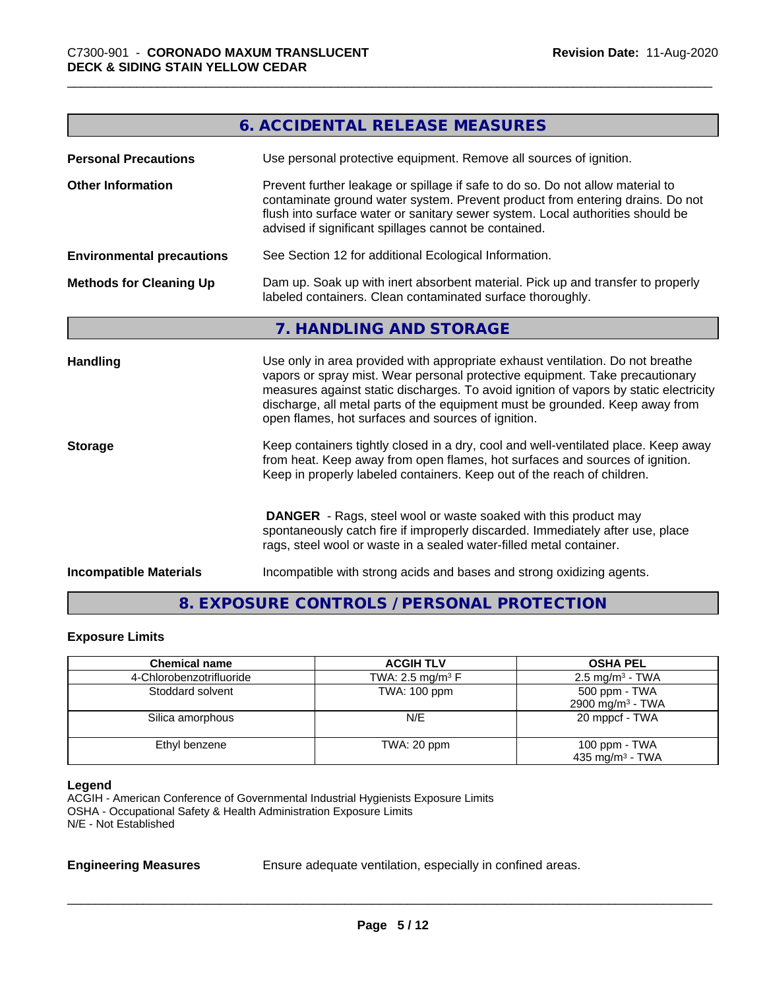|                                  | <b>6. ACCIDENTAL RELEASE MEASURES</b>                                                                                                                                                                                                                                                                                                                                                         |
|----------------------------------|-----------------------------------------------------------------------------------------------------------------------------------------------------------------------------------------------------------------------------------------------------------------------------------------------------------------------------------------------------------------------------------------------|
| <b>Personal Precautions</b>      | Use personal protective equipment. Remove all sources of ignition.                                                                                                                                                                                                                                                                                                                            |
| <b>Other Information</b>         | Prevent further leakage or spillage if safe to do so. Do not allow material to<br>contaminate ground water system. Prevent product from entering drains. Do not<br>flush into surface water or sanitary sewer system. Local authorities should be<br>advised if significant spillages cannot be contained.                                                                                    |
| <b>Environmental precautions</b> | See Section 12 for additional Ecological Information.                                                                                                                                                                                                                                                                                                                                         |
| <b>Methods for Cleaning Up</b>   | Dam up. Soak up with inert absorbent material. Pick up and transfer to properly<br>labeled containers. Clean contaminated surface thoroughly.                                                                                                                                                                                                                                                 |
|                                  | 7. HANDLING AND STORAGE                                                                                                                                                                                                                                                                                                                                                                       |
| <b>Handling</b>                  | Use only in area provided with appropriate exhaust ventilation. Do not breathe<br>vapors or spray mist. Wear personal protective equipment. Take precautionary<br>measures against static discharges. To avoid ignition of vapors by static electricity<br>discharge, all metal parts of the equipment must be grounded. Keep away from<br>open flames, hot surfaces and sources of ignition. |
| <b>Storage</b>                   | Keep containers tightly closed in a dry, cool and well-ventilated place. Keep away<br>from heat. Keep away from open flames, hot surfaces and sources of ignition.<br>Keep in properly labeled containers. Keep out of the reach of children.                                                                                                                                                 |
|                                  | <b>DANGER</b> - Rags, steel wool or waste soaked with this product may<br>spontaneously catch fire if improperly discarded. Immediately after use, place<br>rags, steel wool or waste in a sealed water-filled metal container.                                                                                                                                                               |
| <b>Incompatible Materials</b>    | Incompatible with strong acids and bases and strong oxidizing agents.                                                                                                                                                                                                                                                                                                                         |

### **8. EXPOSURE CONTROLS / PERSONAL PROTECTION**

#### **Exposure Limits**

| <b>Chemical name</b>     | <b>ACGIH TLV</b>               | <b>OSHA PEL</b>                                |
|--------------------------|--------------------------------|------------------------------------------------|
| 4-Chlorobenzotrifluoride | TWA: 2.5 mg/m <sup>3</sup> $F$ | $2.5 \text{ mg/m}^3$ - TWA                     |
| Stoddard solvent         | TWA: 100 ppm                   | 500 ppm - TWA<br>2900 mg/m <sup>3</sup> - TWA  |
| Silica amorphous         | N/E                            | 20 mppcf - TWA                                 |
| Ethyl benzene            | TWA: 20 ppm                    | 100 ppm $-$ TWA<br>435 mg/m <sup>3</sup> - TWA |

#### **Legend**

ACGIH - American Conference of Governmental Industrial Hygienists Exposure Limits OSHA - Occupational Safety & Health Administration Exposure Limits N/E - Not Established

**Engineering Measures** Ensure adequate ventilation, especially in confined areas.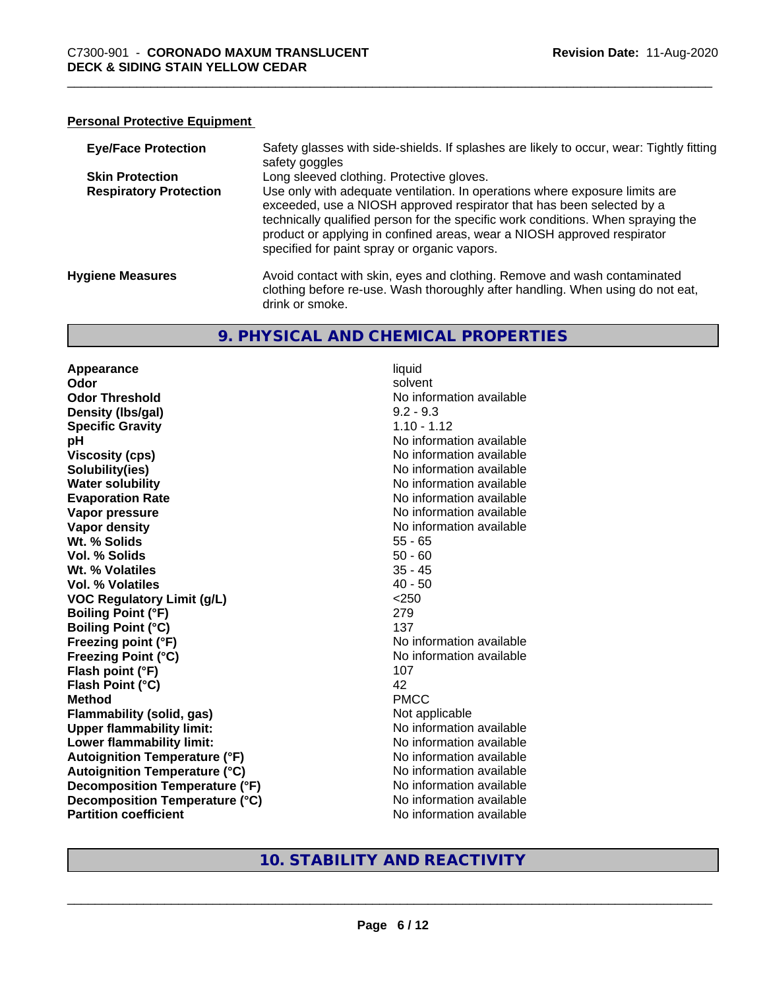#### **Personal Protective Equipment**

| <b>Eye/Face Protection</b>    | Safety glasses with side-shields. If splashes are likely to occur, wear: Tightly fitting<br>safety goggles                                                                                                                                                                                                                                                          |
|-------------------------------|---------------------------------------------------------------------------------------------------------------------------------------------------------------------------------------------------------------------------------------------------------------------------------------------------------------------------------------------------------------------|
| <b>Skin Protection</b>        | Long sleeved clothing. Protective gloves.                                                                                                                                                                                                                                                                                                                           |
| <b>Respiratory Protection</b> | Use only with adequate ventilation. In operations where exposure limits are<br>exceeded, use a NIOSH approved respirator that has been selected by a<br>technically qualified person for the specific work conditions. When spraying the<br>product or applying in confined areas, wear a NIOSH approved respirator<br>specified for paint spray or organic vapors. |
| <b>Hygiene Measures</b>       | Avoid contact with skin, eyes and clothing. Remove and wash contaminated<br>clothing before re-use. Wash thoroughly after handling. When using do not eat,<br>drink or smoke.                                                                                                                                                                                       |

#### **9. PHYSICAL AND CHEMICAL PROPERTIES**

**Appearance** liquid **Odor** solvent **Odor Threshold No information available No information available Density (lbs/gal)** 9.2 - 9.3 **Specific Gravity** 1.10 - 1.12 **pH** No information available **Viscosity (cps)** No information available Notice 1, 1999 **Solubility(ies)**<br> **Solubility**<br> **Water solubility**<br> **Water solubility Evaporation Rate No information available No information available Vapor pressure** No information available **Vapor density No information available No information available Wt. % Solids** 55 - 65 **Vol. % Solids** 50 - 60 **Wt. % Volatiles** 35 - 45 **Vol. % Volatiles** 40 - 50 **VOC Regulatory Limit (g/L)** <250 **Boiling Point (°F)** 279 **Boiling Point (°C)** 137 **Freezing point (°F)** No information available **Freezing Point (°C)** The Control of the Monometer of Noinformation available **Flash point (°F)** 107 **Flash Point (°C)** 42 **Method** PMCC **Flammability (solid, gas)** Not applicable **Upper flammability limit:** No information available **Lower flammability limit:**<br> **Autoignition Temperature (°F)** No information available **Autoignition Temperature (°F)**<br> **Autoignition Temperature (°C)** No information available **Autoignition Temperature (°C) Decomposition Temperature (°F)** No information available **Decomposition Temperature (°C)** No information available **Partition coefficient Community Contract Contract Contract Contract Contract Contract Contract Contract Contract Contract Contract Contract Contract Contract Contract Contract Contract Contract Contract Contract Contr** 

**No information available** 

#### **10. STABILITY AND REACTIVITY**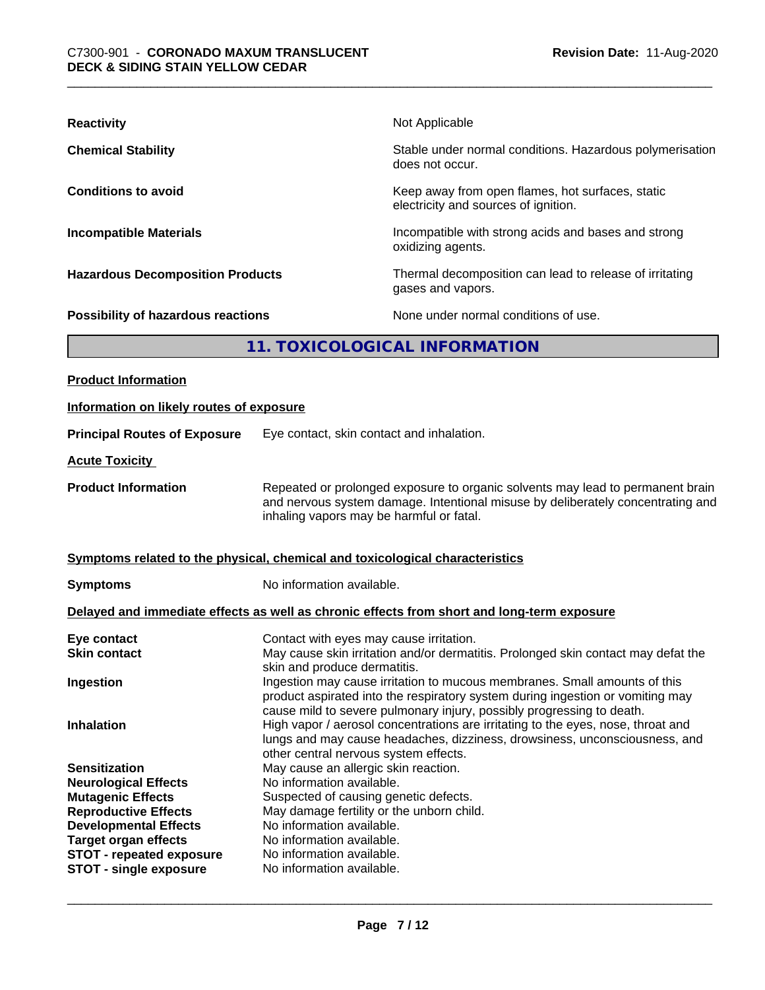| <b>Reactivity</b>                       | Not Applicable                                                                           |
|-----------------------------------------|------------------------------------------------------------------------------------------|
| <b>Chemical Stability</b>               | Stable under normal conditions. Hazardous polymerisation<br>does not occur.              |
| <b>Conditions to avoid</b>              | Keep away from open flames, hot surfaces, static<br>electricity and sources of ignition. |
| <b>Incompatible Materials</b>           | Incompatible with strong acids and bases and strong<br>oxidizing agents.                 |
| <b>Hazardous Decomposition Products</b> | Thermal decomposition can lead to release of irritating<br>gases and vapors.             |
| Possibility of hazardous reactions      | None under normal conditions of use.                                                     |
|                                         | 11. TOXICOLOGICAL INFORMATION                                                            |
| <b>Product Information</b>              |                                                                                          |

| Information on likely routes of exposure                                                                                                                                                                                                                                                                                                                                                                                                                                               |
|----------------------------------------------------------------------------------------------------------------------------------------------------------------------------------------------------------------------------------------------------------------------------------------------------------------------------------------------------------------------------------------------------------------------------------------------------------------------------------------|
| Eye contact, skin contact and inhalation.                                                                                                                                                                                                                                                                                                                                                                                                                                              |
|                                                                                                                                                                                                                                                                                                                                                                                                                                                                                        |
| Repeated or prolonged exposure to organic solvents may lead to permanent brain<br>and nervous system damage. Intentional misuse by deliberately concentrating and<br>inhaling vapors may be harmful or fatal.                                                                                                                                                                                                                                                                          |
| Symptoms related to the physical, chemical and toxicological characteristics                                                                                                                                                                                                                                                                                                                                                                                                           |
| No information available.                                                                                                                                                                                                                                                                                                                                                                                                                                                              |
| Delayed and immediate effects as well as chronic effects from short and long-term exposure                                                                                                                                                                                                                                                                                                                                                                                             |
| Contact with eyes may cause irritation.<br>May cause skin irritation and/or dermatitis. Prolonged skin contact may defat the<br>skin and produce dermatitis.<br>Ingestion may cause irritation to mucous membranes. Small amounts of this<br>product aspirated into the respiratory system during ingestion or vomiting may<br>cause mild to severe pulmonary injury, possibly progressing to death.                                                                                   |
| High vapor / aerosol concentrations are irritating to the eyes, nose, throat and<br>lungs and may cause headaches, dizziness, drowsiness, unconsciousness, and<br>other central nervous system effects.<br>May cause an allergic skin reaction.<br>No information available.<br>Suspected of causing genetic defects.<br>May damage fertility or the unborn child.<br>No information available.<br>No information available.<br>No information available.<br>No information available. |
|                                                                                                                                                                                                                                                                                                                                                                                                                                                                                        |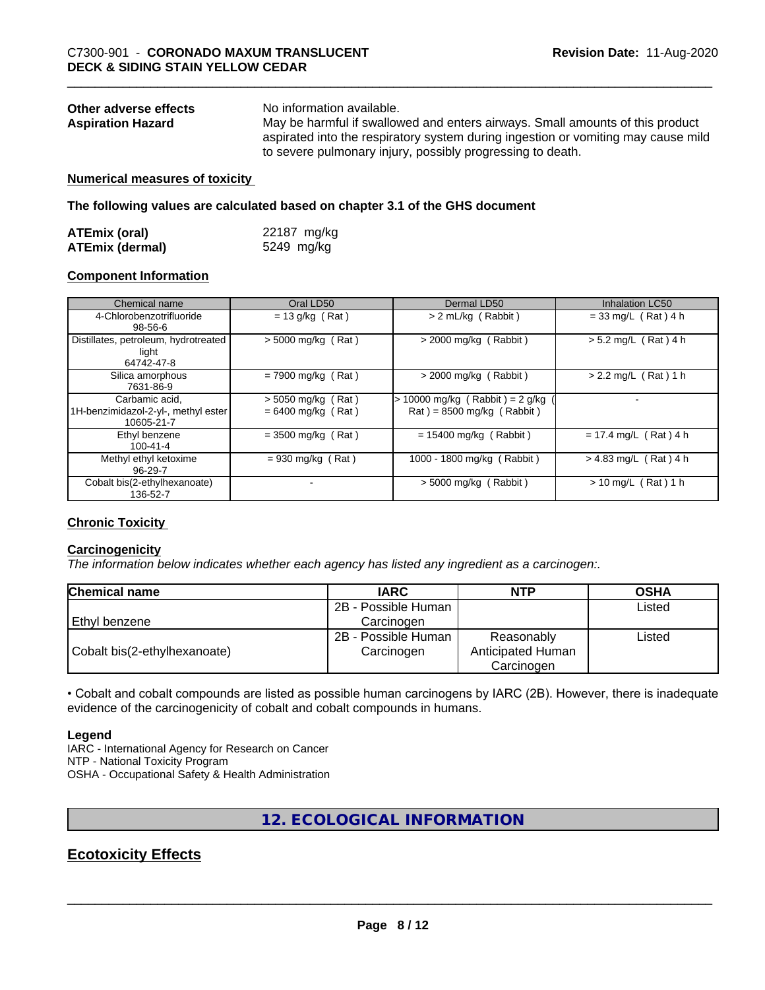| Other adverse effects    | No information available.                                                         |
|--------------------------|-----------------------------------------------------------------------------------|
| <b>Aspiration Hazard</b> | May be harmful if swallowed and enters airways. Small amounts of this product     |
|                          | aspirated into the respiratory system during ingestion or vomiting may cause mild |
|                          | to severe pulmonary injury, possibly progressing to death.                        |

#### **Numerical measures of toxicity**

**The following values are calculated based on chapter 3.1 of the GHS document**

| <b>ATEmix (oral)</b>   | 22187 mg/kg |
|------------------------|-------------|
| <b>ATEmix (dermal)</b> | 5249 mg/kg  |

#### **Component Information**

| Chemical name                                                       | Oral LD50                                    | Dermal LD50                                                      | <b>Inhalation LC50</b>  |
|---------------------------------------------------------------------|----------------------------------------------|------------------------------------------------------------------|-------------------------|
| 4-Chlorobenzotrifluoride<br>98-56-6                                 | $= 13$ g/kg (Rat)                            | > 2 mL/kg (Rabbit)                                               | $= 33$ mg/L (Rat) 4 h   |
| Distillates, petroleum, hydrotreated<br>light<br>64742-47-8         | $>$ 5000 mg/kg (Rat)                         | $>$ 2000 mg/kg (Rabbit)                                          | $> 5.2$ mg/L (Rat) 4 h  |
| Silica amorphous<br>7631-86-9                                       | $= 7900$ mg/kg (Rat)                         | $>$ 2000 mg/kg (Rabbit)                                          | $> 2.2$ mg/L (Rat) 1 h  |
| Carbamic acid,<br>1H-benzimidazol-2-yl-, methyl ester<br>10605-21-7 | $>$ 5050 mg/kg (Rat)<br>$= 6400$ mg/kg (Rat) | $> 10000$ mg/kg (Rabbit) = 2 g/kg<br>$Rat$ = 8500 mg/kg (Rabbit) |                         |
| Ethyl benzene<br>$100 - 41 - 4$                                     | $= 3500$ mg/kg (Rat)                         | $= 15400$ mg/kg (Rabbit)                                         | $= 17.4$ mg/L (Rat) 4 h |
| Methyl ethyl ketoxime<br>96-29-7                                    | $= 930$ mg/kg (Rat)                          | 1000 - 1800 mg/kg (Rabbit)                                       | $> 4.83$ mg/L (Rat) 4 h |
| Cobalt bis(2-ethylhexanoate)<br>136-52-7                            |                                              | $>$ 5000 mg/kg (Rabbit)                                          | $> 10$ mg/L (Rat) 1 h   |

#### **Chronic Toxicity**

#### **Carcinogenicity**

*The information below indicateswhether each agency has listed any ingredient as a carcinogen:.*

| <b>Chemical name</b>         | <b>IARC</b>         | <b>NTP</b>        | <b>OSHA</b> |  |
|------------------------------|---------------------|-------------------|-------------|--|
|                              | 2B - Possible Human |                   | Listed      |  |
| l Ethvl benzene              | Carcinogen          |                   |             |  |
|                              | 2B - Possible Human | Reasonably        | Listed      |  |
| Cobalt bis(2-ethylhexanoate) | Carcinogen          | Anticipated Human |             |  |
|                              |                     | Carcinogen        |             |  |

• Cobalt and cobalt compounds are listed as possible human carcinogens by IARC (2B). However, there is inadequate evidence of the carcinogenicity of cobalt and cobalt compounds in humans.

#### **Legend**

IARC - International Agency for Research on Cancer NTP - National Toxicity Program OSHA - Occupational Safety & Health Administration

#### **12. ECOLOGICAL INFORMATION**

#### **Ecotoxicity Effects**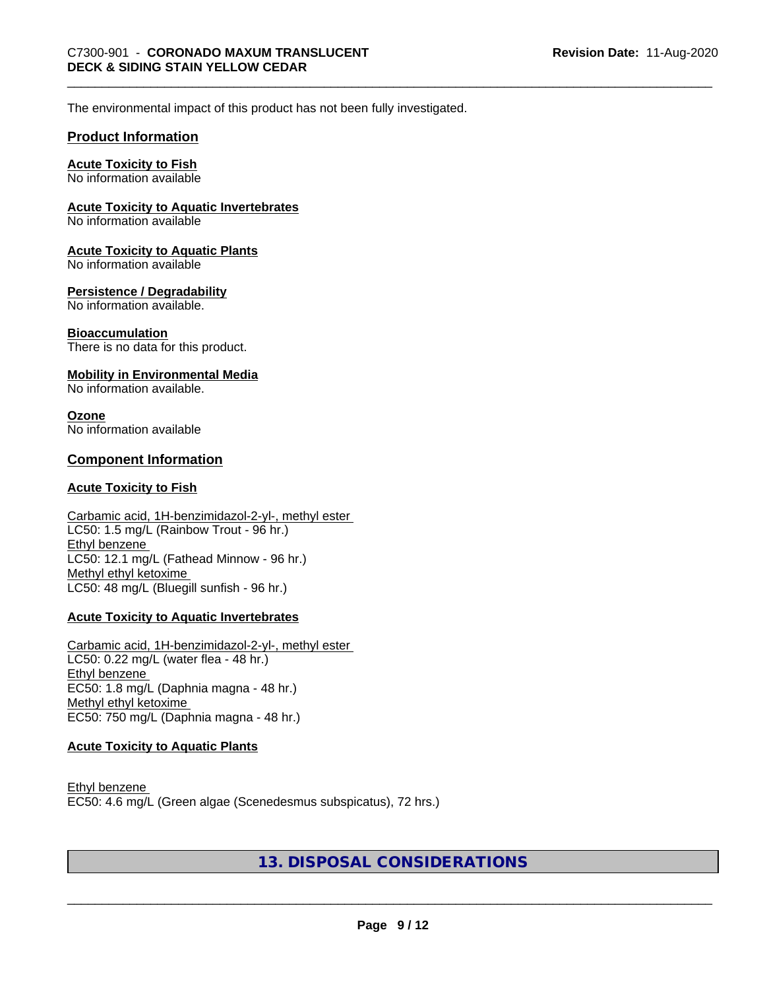The environmental impact of this product has not been fully investigated.

#### **Product Information**

#### **Acute Toxicity to Fish**

No information available

#### **Acute Toxicity to Aquatic Invertebrates**

No information available

#### **Acute Toxicity to Aquatic Plants**

No information available

#### **Persistence / Degradability**

No information available.

#### **Bioaccumulation**

There is no data for this product.

#### **Mobility in Environmental Media**

No information available.

#### **Ozone**

No information available

#### **Component Information**

#### **Acute Toxicity to Fish**

#### Carbamic acid, 1H-benzimidazol-2-yl-, methyl ester LC50: 1.5 mg/L (Rainbow Trout - 96 hr.) Ethyl benzene LC50: 12.1 mg/L (Fathead Minnow - 96 hr.) Methyl ethyl ketoxime LC50: 48 mg/L (Bluegill sunfish - 96 hr.)

#### **Acute Toxicity to Aquatic Invertebrates**

Carbamic acid, 1H-benzimidazol-2-yl-, methyl ester LC50: 0.22 mg/L (water flea - 48 hr.) Ethyl benzene EC50: 1.8 mg/L (Daphnia magna - 48 hr.) Methyl ethyl ketoxime EC50: 750 mg/L (Daphnia magna - 48 hr.)

#### **Acute Toxicity to Aquatic Plants**

Ethyl benzene EC50: 4.6 mg/L (Green algae (Scenedesmus subspicatus), 72 hrs.)

#### **13. DISPOSAL CONSIDERATIONS**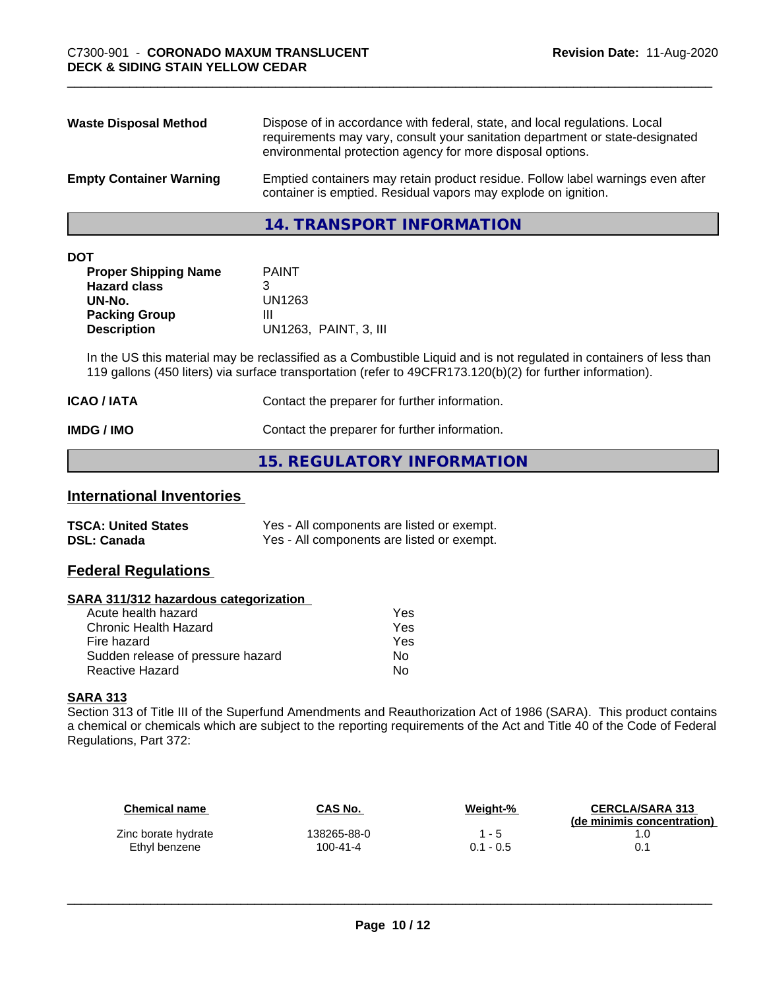| <b>Waste Disposal Method</b>   | Dispose of in accordance with federal, state, and local regulations. Local<br>requirements may vary, consult your sanitation department or state-designated<br>environmental protection agency for more disposal options. |
|--------------------------------|---------------------------------------------------------------------------------------------------------------------------------------------------------------------------------------------------------------------------|
| <b>Empty Container Warning</b> | Emptied containers may retain product residue. Follow label warnings even after<br>container is emptied. Residual vapors may explode on ignition.                                                                         |

**14. TRANSPORT INFORMATION**

| ۰. | ×<br>٠ |  |
|----|--------|--|

| <b>PAINT</b>          |
|-----------------------|
|                       |
| UN1263                |
| Ш                     |
| UN1263, PAINT, 3, III |
|                       |

In the US this material may be reclassified as a Combustible Liquid and is not regulated in containers of less than 119 gallons (450 liters) via surface transportation (refer to 49CFR173.120(b)(2) for further information).

| <b>ICAO / IATA</b> | Contact the preparer for further information. |
|--------------------|-----------------------------------------------|
| IMDG / IMO         | Contact the preparer for further information. |

#### **15. REGULATORY INFORMATION**

#### **International Inventories**

| <b>TSCA: United States</b> | Yes - All components are listed or exempt. |
|----------------------------|--------------------------------------------|
| <b>DSL: Canada</b>         | Yes - All components are listed or exempt. |

#### **Federal Regulations**

#### **SARA 311/312 hazardous categorization**

| Yes |
|-----|
| Yes |
| Yes |
| Nο  |
| N٥  |
|     |

#### **SARA 313**

Section 313 of Title III of the Superfund Amendments and Reauthorization Act of 1986 (SARA). This product contains a chemical or chemicals which are subject to the reporting requirements of the Act and Title 40 of the Code of Federal Regulations, Part 372:

| Chemical name       | CAS No.     | Weight-%    | <b>CERCLA/SARA 313</b><br>(de minimis concentration) |
|---------------------|-------------|-------------|------------------------------------------------------|
| Zinc borate hydrate | 138265-88-0 | $1 - 5$     |                                                      |
| Ethyl benzene       | 100-41-4    | $0.1 - 0.5$ |                                                      |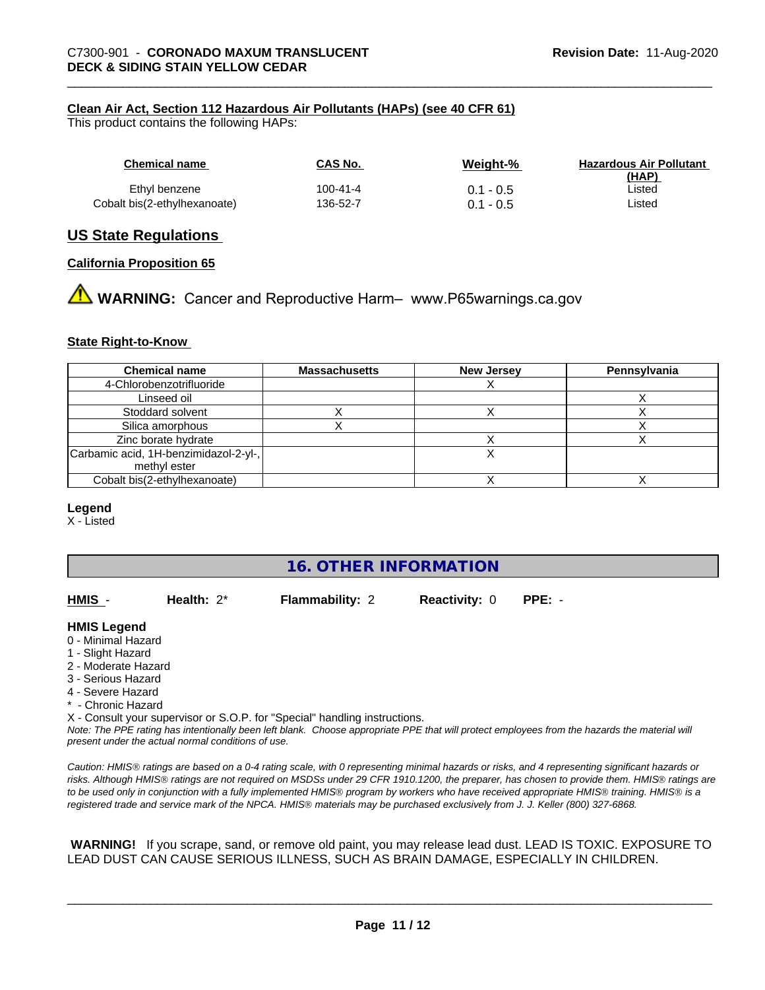#### **Clean Air Act,Section 112 Hazardous Air Pollutants (HAPs) (see 40 CFR 61)**

This product contains the following HAPs:

| Chemical name                | CAS No.  | Weight-%    | <b>Hazardous Air Pollutant</b><br>(HAP) |
|------------------------------|----------|-------------|-----------------------------------------|
| Ethyl benzene                | 100-41-4 | $0.1 - 0.5$ | Listed                                  |
| Cobalt bis(2-ethylhexanoate) | 136-52-7 | $0.1 - 0.5$ | Listed                                  |

#### **US State Regulations**

#### **California Proposition 65**

**WARNING:** Cancer and Reproductive Harm– www.P65warnings.ca.gov

#### **State Right-to-Know**

| <b>Chemical name</b>                  | <b>Massachusetts</b> | <b>New Jersey</b> | Pennsylvania |
|---------------------------------------|----------------------|-------------------|--------------|
| 4-Chlorobenzotrifluoride              |                      |                   |              |
| Linseed oil                           |                      |                   |              |
| Stoddard solvent                      |                      |                   |              |
| Silica amorphous                      |                      |                   |              |
| Zinc borate hydrate                   |                      |                   |              |
| Carbamic acid, 1H-benzimidazol-2-yl-, |                      |                   |              |
| methyl ester                          |                      |                   |              |
| Cobalt bis(2-ethylhexanoate)          |                      |                   |              |

#### **Legend**

X - Listed

#### **16. OTHER INFORMATION**

**HMIS** - **Health:** 2\* **Flammability:** 2 **Reactivity:** 0 **PPE:** -

#### **HMIS Legend**

- 0 Minimal Hazard
- 1 Slight Hazard
- 2 Moderate Hazard
- 3 Serious Hazard
- 4 Severe Hazard
- \* Chronic Hazard

X - Consult your supervisor or S.O.P. for "Special" handling instructions.

*Note: The PPE rating has intentionally been left blank. Choose appropriate PPE that will protect employees from the hazards the material will present under the actual normal conditions of use.*

*Caution: HMISÒ ratings are based on a 0-4 rating scale, with 0 representing minimal hazards or risks, and 4 representing significant hazards or risks. Although HMISÒ ratings are not required on MSDSs under 29 CFR 1910.1200, the preparer, has chosen to provide them. HMISÒ ratings are to be used only in conjunction with a fully implemented HMISÒ program by workers who have received appropriate HMISÒ training. HMISÒ is a registered trade and service mark of the NPCA. HMISÒ materials may be purchased exclusively from J. J. Keller (800) 327-6868.*

 **WARNING!** If you scrape, sand, or remove old paint, you may release lead dust. LEAD IS TOXIC. EXPOSURE TO LEAD DUST CAN CAUSE SERIOUS ILLNESS, SUCH AS BRAIN DAMAGE, ESPECIALLY IN CHILDREN.